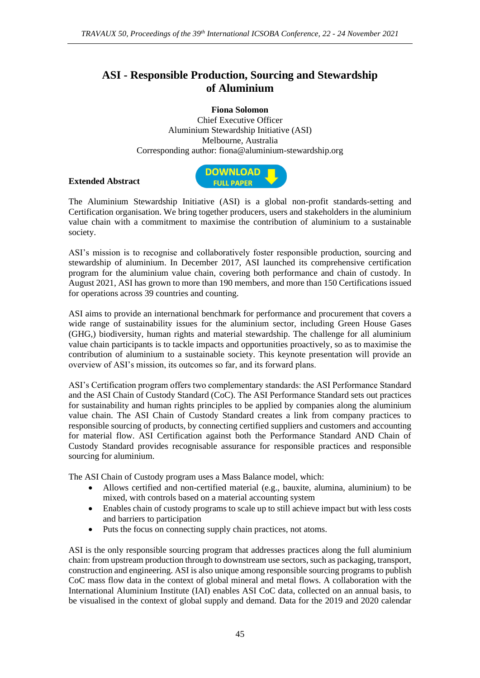## **ASI - Responsible Production, Sourcing and Stewardship of Aluminium**

**Fiona Solomon**  Chief Executive Officer Aluminium Stewardship Initiative (ASI) Melbourne, Australia Corresponding author: fiona@aluminium-stewardship.org

## **Extended Abstract**



The Aluminium Stewardship Initiative (ASI) is a global non-profit standards-setting and Certification organisation. We bring together producers, users and stakeholders in the aluminium value chain with a commitment to maximise the contribution of aluminium to a sustainable society.

ASI's mission is to recognise and collaboratively foster responsible production, sourcing and stewardship of aluminium. In December 2017, ASI launched its comprehensive certification program for the aluminium value chain, covering both performance and chain of custody. In August 2021, ASI has grown to more than 190 members, and more than 150 Certifications issued for operations across 39 countries and counting.

ASI aims to provide an international benchmark for performance and procurement that covers a wide range of sustainability issues for the aluminium sector, including Green House Gases (GHG,) biodiversity, human rights and material stewardship. The challenge for all aluminium value chain participants is to tackle impacts and opportunities proactively, so as to maximise the contribution of aluminium to a sustainable society. This keynote presentation will provide an overview of ASI's mission, its outcomes so far, and its forward plans.

ASI's Certification program offers two complementary standards: the ASI Performance Standard and the ASI Chain of Custody Standard (CoC). The ASI Performance Standard sets out practices for sustainability and human rights principles to be applied by companies along the aluminium value chain. The ASI Chain of Custody Standard creates a link from company practices to responsible sourcing of products, by connecting certified suppliers and customers and accounting for material flow. ASI Certification against both the Performance Standard AND Chain of Custody Standard provides recognisable assurance for responsible practices and responsible sourcing for aluminium.

The ASI Chain of Custody program uses a Mass Balance model, which:

- Allows certified and non-certified material (e.g., bauxite, alumina, aluminium) to be mixed, with controls based on a material accounting system
- Enables chain of custody programs to scale up to still achieve impact but with less costs and barriers to participation
- Puts the focus on connecting supply chain practices, not atoms.

ASI is the only responsible sourcing program that addresses practices along the full aluminium chain: from upstream production through to downstream use sectors, such as packaging, transport, construction and engineering. ASI is also unique among responsible sourcing programs to publish CoC mass flow data in the context of global mineral and metal flows. A collaboration with the International Aluminium Institute (IAI) enables ASI CoC data, collected on an annual basis, to be visualised in the context of global supply and demand. Data for the 2019 and 2020 calendar